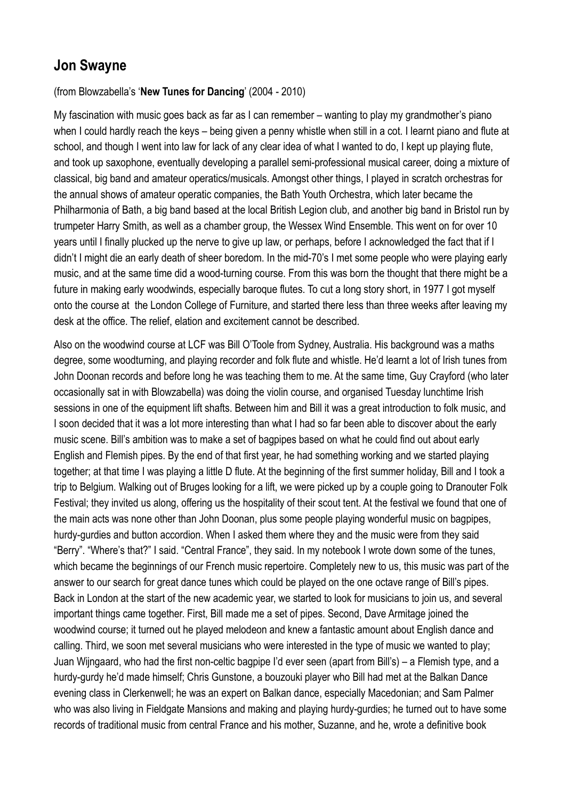## **Jon Swayne**

## (from Blowzabella's '**New Tunes for Dancing**' (2004 - 2010)

My fascination with music goes back as far as I can remember – wanting to play my grandmother's piano when I could hardly reach the keys – being given a penny whistle when still in a cot. I learnt piano and flute at school, and though I went into law for lack of any clear idea of what I wanted to do, I kept up playing flute, and took up saxophone, eventually developing a parallel semi-professional musical career, doing a mixture of classical, big band and amateur operatics/musicals. Amongst other things, I played in scratch orchestras for the annual shows of amateur operatic companies, the Bath Youth Orchestra, which later became the Philharmonia of Bath, a big band based at the local British Legion club, and another big band in Bristol run by trumpeter Harry Smith, as well as a chamber group, the Wessex Wind Ensemble. This went on for over 10 years until I finally plucked up the nerve to give up law, or perhaps, before I acknowledged the fact that if I didn't I might die an early death of sheer boredom. In the mid-70's I met some people who were playing early music, and at the same time did a wood-turning course. From this was born the thought that there might be a future in making early woodwinds, especially baroque flutes. To cut a long story short, in 1977 I got myself onto the course at the London College of Furniture, and started there less than three weeks after leaving my desk at the office. The relief, elation and excitement cannot be described.

Also on the woodwind course at LCF was Bill O'Toole from Sydney, Australia. His background was a maths degree, some woodturning, and playing recorder and folk flute and whistle. He'd learnt a lot of Irish tunes from John Doonan records and before long he was teaching them to me. At the same time, Guy Crayford (who later occasionally sat in with Blowzabella) was doing the violin course, and organised Tuesday lunchtime Irish sessions in one of the equipment lift shafts. Between him and Bill it was a great introduction to folk music, and I soon decided that it was a lot more interesting than what I had so far been able to discover about the early music scene. Bill's ambition was to make a set of bagpipes based on what he could find out about early English and Flemish pipes. By the end of that first year, he had something working and we started playing together; at that time I was playing a little D flute. At the beginning of the first summer holiday, Bill and I took a trip to Belgium. Walking out of Bruges looking for a lift, we were picked up by a couple going to Dranouter Folk Festival; they invited us along, offering us the hospitality of their scout tent. At the festival we found that one of the main acts was none other than John Doonan, plus some people playing wonderful music on bagpipes, hurdy-gurdies and button accordion. When I asked them where they and the music were from they said "Berry". "Where's that?" I said. "Central France", they said. In my notebook I wrote down some of the tunes, which became the beginnings of our French music repertoire. Completely new to us, this music was part of the answer to our search for great dance tunes which could be played on the one octave range of Bill's pipes. Back in London at the start of the new academic year, we started to look for musicians to join us, and several important things came together. First, Bill made me a set of pipes. Second, Dave Armitage joined the woodwind course; it turned out he played melodeon and knew a fantastic amount about English dance and calling. Third, we soon met several musicians who were interested in the type of music we wanted to play; Juan Wijngaard, who had the first non-celtic bagpipe I'd ever seen (apart from Bill's) – a Flemish type, and a hurdy-gurdy he'd made himself; Chris Gunstone, a bouzouki player who Bill had met at the Balkan Dance evening class in Clerkenwell; he was an expert on Balkan dance, especially Macedonian; and Sam Palmer who was also living in Fieldgate Mansions and making and playing hurdy-gurdies; he turned out to have some records of traditional music from central France and his mother, Suzanne, and he, wrote a definitive book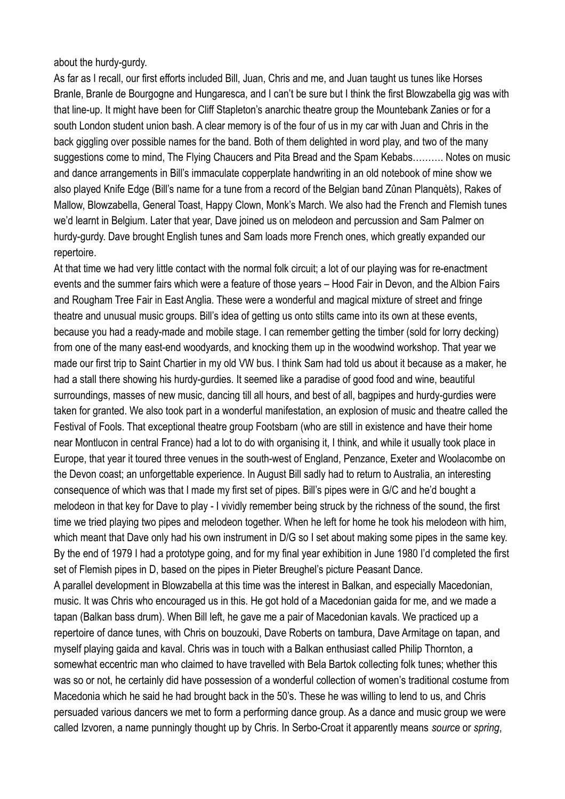about the hurdy-gurdy.

As far as I recall, our first efforts included Bill, Juan, Chris and me, and Juan taught us tunes like Horses Branle, Branle de Bourgogne and Hungaresca, and I can't be sure but I think the first Blowzabella gig was with that line-up. It might have been for Cliff Stapleton's anarchic theatre group the Mountebank Zanies or for a south London student union bash. A clear memory is of the four of us in my car with Juan and Chris in the back giggling over possible names for the band. Both of them delighted in word play, and two of the many suggestions come to mind, The Flying Chaucers and Pita Bread and the Spam Kebabs………. Notes on music and dance arrangements in Bill's immaculate copperplate handwriting in an old notebook of mine show we also played Knife Edge (Bill's name for a tune from a record of the Belgian band Zûnan Planquèts), Rakes of Mallow, Blowzabella, General Toast, Happy Clown, Monk's March. We also had the French and Flemish tunes we'd learnt in Belgium. Later that year, Dave joined us on melodeon and percussion and Sam Palmer on hurdy-gurdy. Dave brought English tunes and Sam loads more French ones, which greatly expanded our repertoire.

At that time we had very little contact with the normal folk circuit; a lot of our playing was for re-enactment events and the summer fairs which were a feature of those years – Hood Fair in Devon, and the Albion Fairs and Rougham Tree Fair in East Anglia. These were a wonderful and magical mixture of street and fringe theatre and unusual music groups. Bill's idea of getting us onto stilts came into its own at these events, because you had a ready-made and mobile stage. I can remember getting the timber (sold for lorry decking) from one of the many east-end woodyards, and knocking them up in the woodwind workshop. That year we made our first trip to Saint Chartier in my old VW bus. I think Sam had told us about it because as a maker, he had a stall there showing his hurdy-gurdies. It seemed like a paradise of good food and wine, beautiful surroundings, masses of new music, dancing till all hours, and best of all, bagpipes and hurdy-gurdies were taken for granted. We also took part in a wonderful manifestation, an explosion of music and theatre called the Festival of Fools. That exceptional theatre group Footsbarn (who are still in existence and have their home near Montlucon in central France) had a lot to do with organising it, I think, and while it usually took place in Europe, that year it toured three venues in the south-west of England, Penzance, Exeter and Woolacombe on the Devon coast; an unforgettable experience. In August Bill sadly had to return to Australia, an interesting consequence of which was that I made my first set of pipes. Bill's pipes were in G/C and he'd bought a melodeon in that key for Dave to play - I vividly remember being struck by the richness of the sound, the first time we tried playing two pipes and melodeon together. When he left for home he took his melodeon with him, which meant that Dave only had his own instrument in D/G so I set about making some pipes in the same key. By the end of 1979 I had a prototype going, and for my final year exhibition in June 1980 I'd completed the first set of Flemish pipes in D, based on the pipes in Pieter Breughel's picture Peasant Dance.

A parallel development in Blowzabella at this time was the interest in Balkan, and especially Macedonian, music. It was Chris who encouraged us in this. He got hold of a Macedonian gaida for me, and we made a tapan (Balkan bass drum). When Bill left, he gave me a pair of Macedonian kavals. We practiced up a repertoire of dance tunes, with Chris on bouzouki, Dave Roberts on tambura, Dave Armitage on tapan, and myself playing gaida and kaval. Chris was in touch with a Balkan enthusiast called Philip Thornton, a somewhat eccentric man who claimed to have travelled with Bela Bartok collecting folk tunes; whether this was so or not, he certainly did have possession of a wonderful collection of women's traditional costume from Macedonia which he said he had brought back in the 50's. These he was willing to lend to us, and Chris persuaded various dancers we met to form a performing dance group. As a dance and music group we were called Izvoren, a name punningly thought up by Chris. In Serbo-Croat it apparently means *source* or *spring*,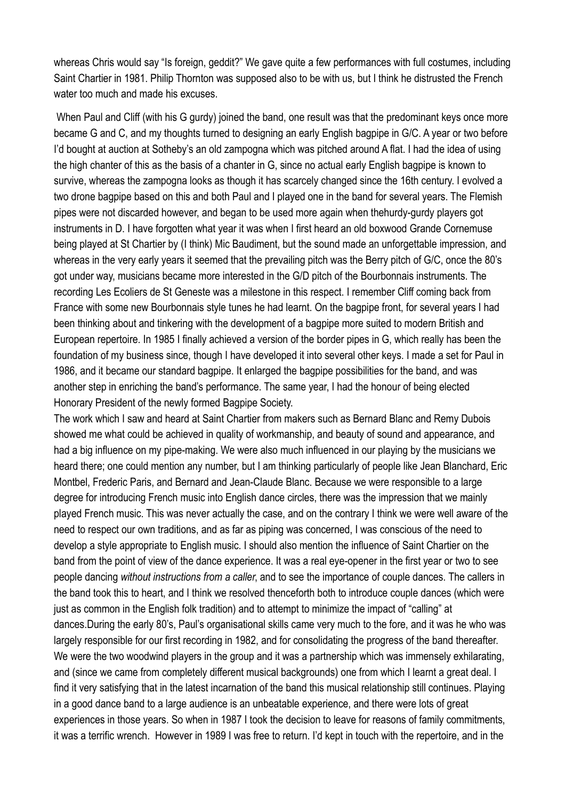whereas Chris would say "Is foreign, geddit?" We gave quite a few performances with full costumes, including Saint Chartier in 1981. Philip Thornton was supposed also to be with us, but I think he distrusted the French water too much and made his excuses.

 When Paul and Cliff (with his G gurdy) joined the band, one result was that the predominant keys once more became G and C, and my thoughts turned to designing an early English bagpipe in G/C. A year or two before I'd bought at auction at Sotheby's an old zampogna which was pitched around A flat. I had the idea of using the high chanter of this as the basis of a chanter in G, since no actual early English bagpipe is known to survive, whereas the zampogna looks as though it has scarcely changed since the 16th century. I evolved a two drone bagpipe based on this and both Paul and I played one in the band for several years. The Flemish pipes were not discarded however, and began to be used more again when thehurdy-gurdy players got instruments in D. I have forgotten what year it was when I first heard an old boxwood Grande Cornemuse being played at St Chartier by (I think) Mic Baudiment, but the sound made an unforgettable impression, and whereas in the very early years it seemed that the prevailing pitch was the Berry pitch of G/C, once the 80's got under way, musicians became more interested in the G/D pitch of the Bourbonnais instruments. The recording Les Ecoliers de St Geneste was a milestone in this respect. I remember Cliff coming back from France with some new Bourbonnais style tunes he had learnt. On the bagpipe front, for several years I had been thinking about and tinkering with the development of a bagpipe more suited to modern British and European repertoire. In 1985 I finally achieved a version of the border pipes in G, which really has been the foundation of my business since, though I have developed it into several other keys. I made a set for Paul in 1986, and it became our standard bagpipe. It enlarged the bagpipe possibilities for the band, and was another step in enriching the band's performance. The same year, I had the honour of being elected Honorary President of the newly formed Bagpipe Society.

The work which I saw and heard at Saint Chartier from makers such as Bernard Blanc and Remy Dubois showed me what could be achieved in quality of workmanship, and beauty of sound and appearance, and had a big influence on my pipe-making. We were also much influenced in our playing by the musicians we heard there; one could mention any number, but I am thinking particularly of people like Jean Blanchard, Eric Montbel, Frederic Paris, and Bernard and Jean-Claude Blanc. Because we were responsible to a large degree for introducing French music into English dance circles, there was the impression that we mainly played French music. This was never actually the case, and on the contrary I think we were well aware of the need to respect our own traditions, and as far as piping was concerned, I was conscious of the need to develop a style appropriate to English music. I should also mention the influence of Saint Chartier on the band from the point of view of the dance experience. It was a real eye-opener in the first year or two to see people dancing *without instructions from a caller*, and to see the importance of couple dances. The callers in the band took this to heart, and I think we resolved thenceforth both to introduce couple dances (which were just as common in the English folk tradition) and to attempt to minimize the impact of "calling" at dances.During the early 80's, Paul's organisational skills came very much to the fore, and it was he who was largely responsible for our first recording in 1982, and for consolidating the progress of the band thereafter. We were the two woodwind players in the group and it was a partnership which was immensely exhilarating, and (since we came from completely different musical backgrounds) one from which I learnt a great deal. I find it very satisfying that in the latest incarnation of the band this musical relationship still continues. Playing in a good dance band to a large audience is an unbeatable experience, and there were lots of great experiences in those years. So when in 1987 I took the decision to leave for reasons of family commitments, it was a terrific wrench. However in 1989 I was free to return. I'd kept in touch with the repertoire, and in the